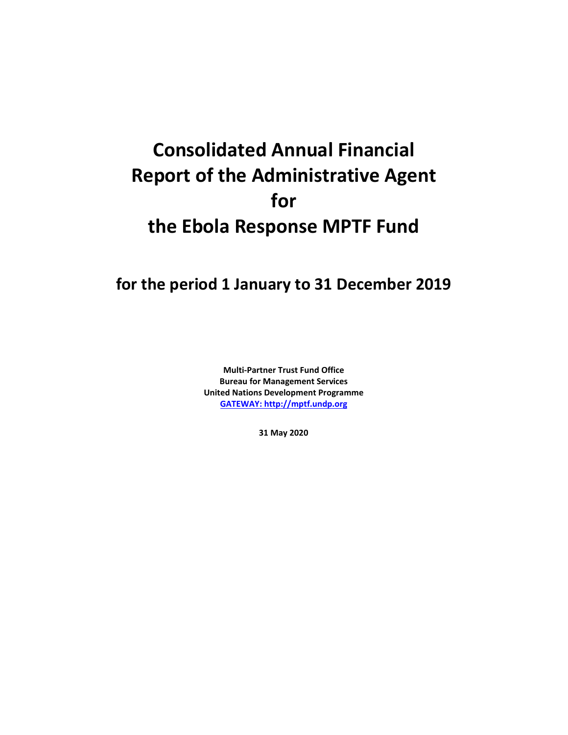# **Consolidated Annual Financial Report of the Administrative Agent for the Ebola Response MPTF Fund**

### **for the period 1 January to 31 December 2019**

**Multi-Partner Trust Fund Office Bureau for Management Services United Nations Development Programme [GATEWAY: http://mptf.undp.org](http://mptf.undp.org/)**

**31 May 2020**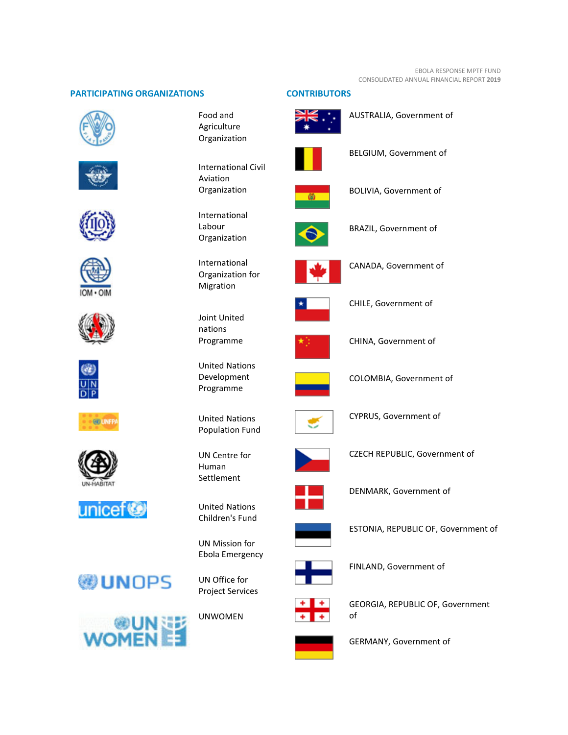#### **PARTICIPATING ORGANIZATIONS CONTRIBUTORS**



















## **WUNOPS**



Food and Agriculture Organization

International Civil Aviation Organization

International Labour Organization

International Organization for Migration



United Nations Development Programme

United Nations Population Fund



United Nations Children's Fund

UN Mission for Ebola Emergency



UNWOMEN





AUSTRALIA, Government of



BELGIUM, Government of



BOLIVIA, Government of



BRAZIL, Government of



CANADA, Government of



CHILE, Government of



CHINA, Government of



COLOMBIA, Government of



CYPRUS, Government of



CZECH REPUBLIC, Government of



DENMARK, Government of



ESTONIA, REPUBLIC OF, Government of



FINLAND, Government of



GEORGIA, REPUBLIC OF, Government of



GERMANY, Government of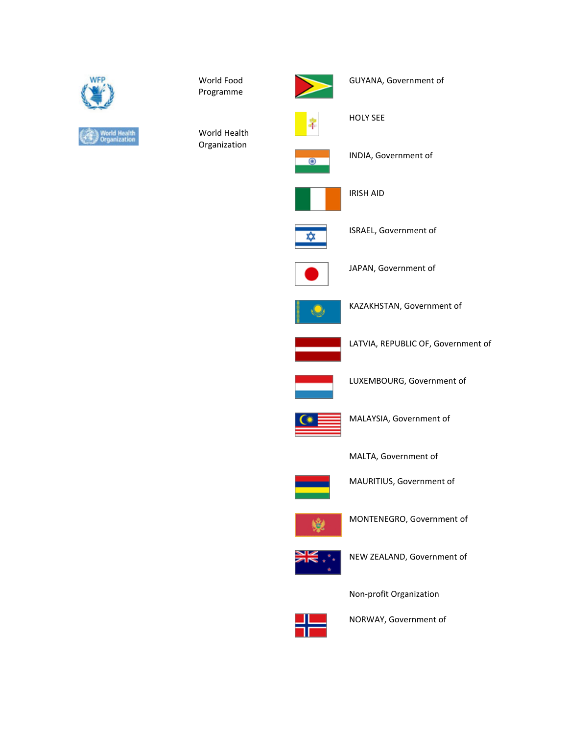

World Food Programme



GUYANA, Government of

World Health Organization



HOLY SEE



INDIA, Government of



IRISH AID



ISRAEL, Government of



JAPAN, Government of



KAZAKHSTAN, Government of



LATVIA, REPUBLIC OF, Government of



LUXEMBOURG, Government of



MALAYSIA, Government of

MALTA, Government of



MAURITIUS, Government of



MONTENEGRO, Government of



NEW ZEALAND, Government of

Non-profit Organization



NORWAY, Government of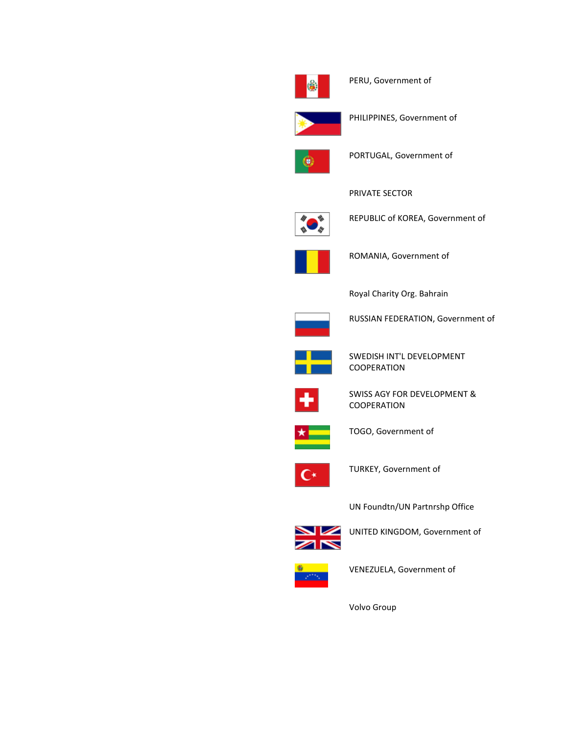

PERU, Government of



PHILIPPINES, Government of



PORTUGAL, Government of

PRIVATE SECTOR



REPUBLIC of KOREA, Government of



ROMANIA, Government of

Royal Charity Org. Bahrain



RUSSIAN FEDERATION, Government of



SWEDISH INT'L DEVELOPMENT COOPERATION



SWISS AGY FOR DEVELOPMENT & COOPERATION



TOGO, Government of



TURKEY, Government of

UN Foundtn/UN Partnrshp Office



UNITED KINGDOM, Government of



VENEZUELA, Government of

Volvo Group